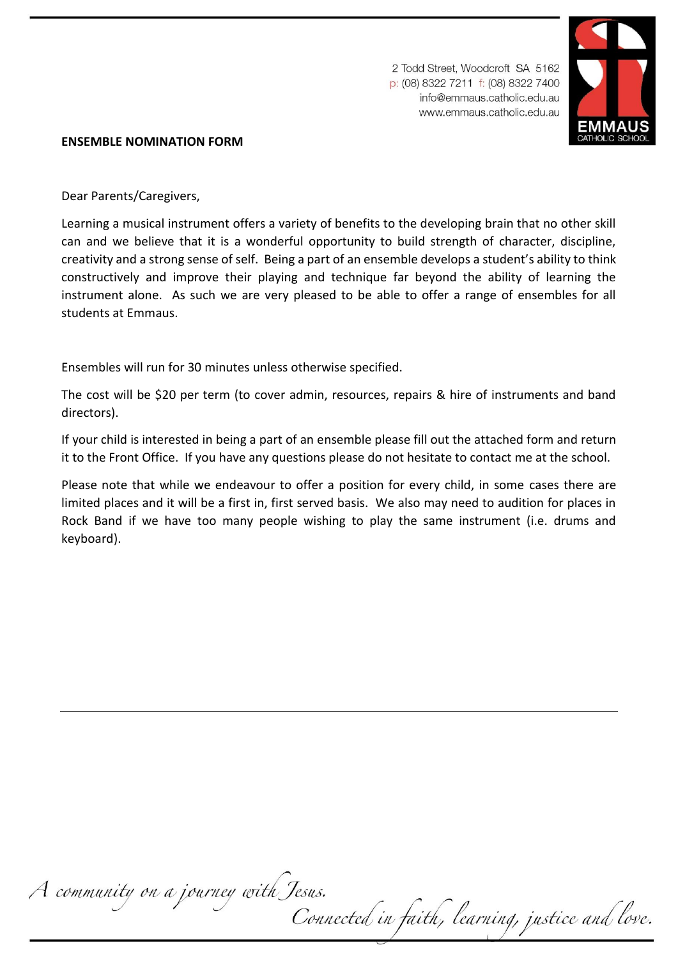2 Todd Street, Woodcroft SA 5162 p: (08) 8322 7211 f: (08) 8322 7400 info@emmaus.catholic.edu.au www.emmaus.catholic.edu.au



## **ENSEMBLE NOMINATION FORM**

Dear Parents/Caregivers,

Learning a musical instrument offers a variety of benefits to the developing brain that no other skill can and we believe that it is a wonderful opportunity to build strength of character, discipline, creativity and a strong sense of self. Being a part of an ensemble develops a student's ability to think constructively and improve their playing and technique far beyond the ability of learning the instrument alone. As such we are very pleased to be able to offer a range of ensembles for all students at Emmaus.

Ensembles will run for 30 minutes unless otherwise specified.

The cost will be \$20 per term (to cover admin, resources, repairs & hire of instruments and band directors).

If your child is interested in being a part of an ensemble please fill out the attached form and return it to the Front Office. If you have any questions please do not hesitate to contact me at the school.

Please note that while we endeavour to offer a position for every child, in some cases there are limited places and it will be a first in, first served basis. We also may need to audition for places in Rock Band if we have too many people wishing to play the same instrument (i.e. drums and keyboard).

A community on a journey with Jesus.<br>Connected in faith, learning, justice and love.